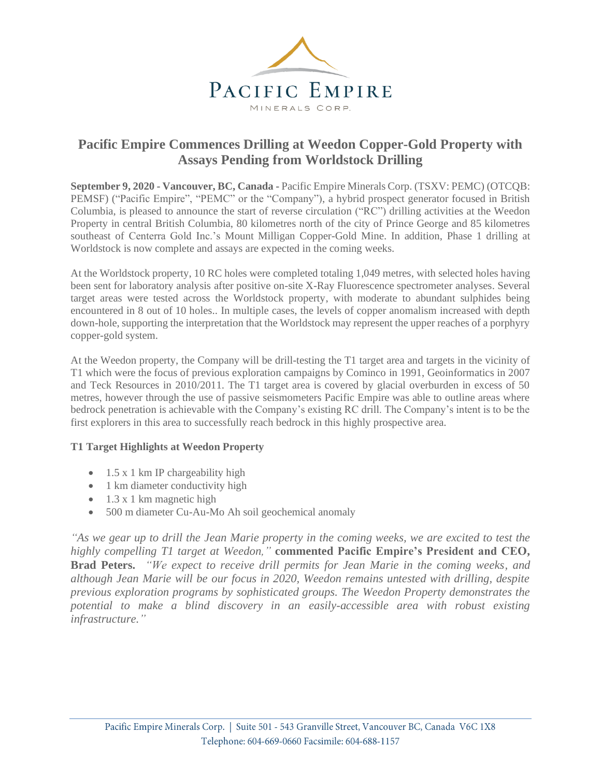

# **Pacific Empire Commences Drilling at Weedon Copper-Gold Property with Assays Pending from Worldstock Drilling**

**September 9, 2020 - Vancouver, BC, Canada -** Pacific Empire Minerals Corp. (TSXV: PEMC) (OTCQB: PEMSF) ("Pacific Empire", "PEMC" or the "Company"), a hybrid prospect generator focused in British Columbia, is pleased to announce the start of reverse circulation ("RC") drilling activities at the Weedon Property in central British Columbia, 80 kilometres north of the city of Prince George and 85 kilometres southeast of Centerra Gold Inc.'s Mount Milligan Copper-Gold Mine. In addition, Phase 1 drilling at Worldstock is now complete and assays are expected in the coming weeks.

At the Worldstock property, 10 RC holes were completed totaling 1,049 metres, with selected holes having been sent for laboratory analysis after positive on-site X-Ray Fluorescence spectrometer analyses. Several target areas were tested across the Worldstock property, with moderate to abundant sulphides being encountered in 8 out of 10 holes.. In multiple cases, the levels of copper anomalism increased with depth down-hole, supporting the interpretation that the Worldstock may represent the upper reaches of a porphyry copper-gold system.

At the Weedon property, the Company will be drill-testing the T1 target area and targets in the vicinity of T1 which were the focus of previous exploration campaigns by Cominco in 1991, Geoinformatics in 2007 and Teck Resources in 2010/2011. The T1 target area is covered by glacial overburden in excess of 50 metres, however through the use of passive seismometers Pacific Empire was able to outline areas where bedrock penetration is achievable with the Company's existing RC drill. The Company's intent is to be the first explorers in this area to successfully reach bedrock in this highly prospective area.

## **T1 Target Highlights at Weedon Property**

- $\bullet$  1.5 x 1 km IP chargeability high
- 1 km diameter conductivity high
- $\bullet$  1.3 x 1 km magnetic high
- 500 m diameter Cu-Au-Mo Ah soil geochemical anomaly

*"As we gear up to drill the Jean Marie property in the coming weeks, we are excited to test the highly compelling T1 target at Weedon,"* **commented Pacific Empire's President and CEO, Brad Peters.** *"We expect to receive drill permits for Jean Marie in the coming weeks, and although Jean Marie will be our focus in 2020, Weedon remains untested with drilling, despite previous exploration programs by sophisticated groups. The Weedon Property demonstrates the potential to make a blind discovery in an easily-accessible area with robust existing infrastructure."*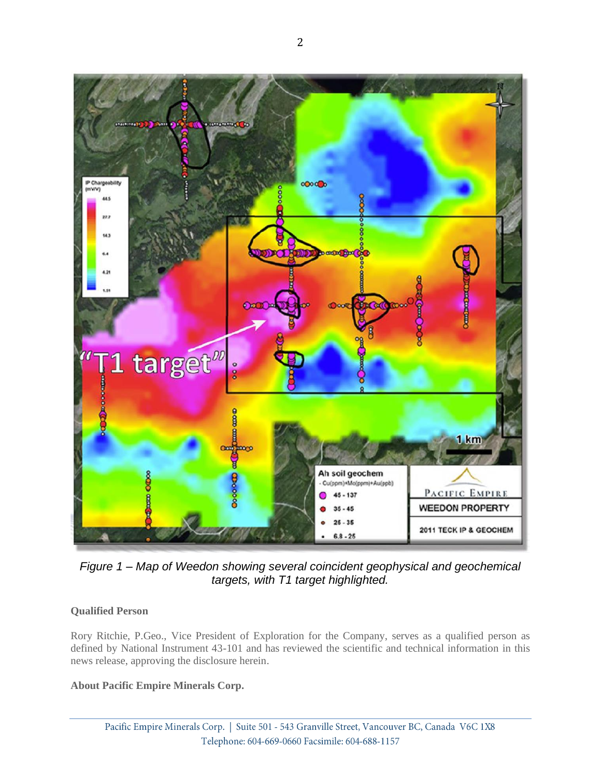

*Figure 1 – Map of Weedon showing several coincident geophysical and geochemical targets, with T1 target highlighted.*

# **Qualified Person**

Rory Ritchie, P.Geo., Vice President of Exploration for the Company, serves as a qualified person as defined by National Instrument 43-101 and has reviewed the scientific and technical information in this news release, approving the disclosure herein.

## **About Pacific Empire Minerals Corp.**